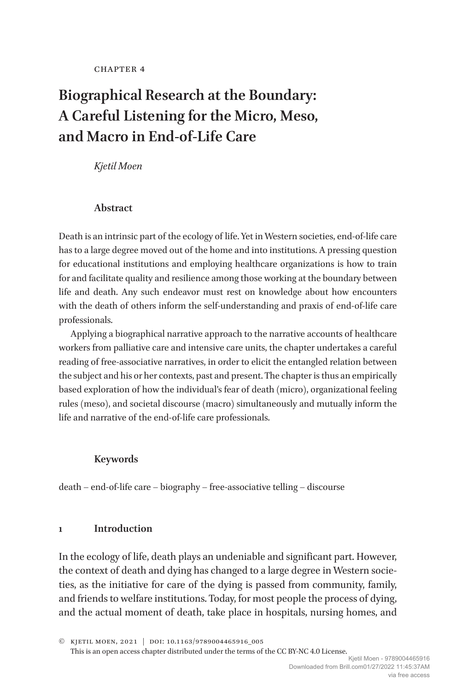# **Biographical Research at the Boundary: A Careful Listening for the Micro, Meso, and Macro in End-of-Life Care**

*Kjetil Moen*

# **Abstract**

Death is an intrinsic part of the ecology of life. Yet in Western societies, end-of-life care has to a large degree moved out of the home and into institutions. A pressing question for educational institutions and employing healthcare organizations is how to train for and facilitate quality and resilience among those working at the boundary between life and death. Any such endeavor must rest on knowledge about how encounters with the death of others inform the self-understanding and praxis of end-of-life care professionals.

Applying a biographical narrative approach to the narrative accounts of healthcare workers from palliative care and intensive care units, the chapter undertakes a careful reading of free-associative narratives, in order to elicit the entangled relation between the subject and his or her contexts, past and present. The chapter is thus an empirically based exploration of how the individual's fear of death (micro), organizational feeling rules (meso), and societal discourse (macro) simultaneously and mutually inform the life and narrative of the end-of-life care professionals.

# **Keywords**

death – end-of-life care – biography – free-associative telling – discourse

## **1 Introduction**

In the ecology of life, death plays an undeniable and significant part. However, the context of death and dying has changed to a large degree in Western societies, as the initiative for care of the dying is passed from community, family, and friends to welfare institutions. Today, for most people the process of dying, and the actual moment of death, take place in hospitals, nursing homes, and

© Kjetil Moen, 2021 | doi: 10.1163/9789004465916\_005 This is an open access chapter distributed under the terms of the CC BY-NC 4.0 License.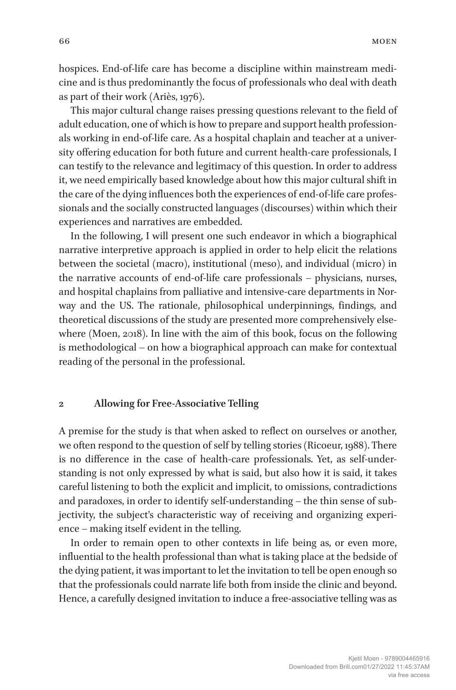hospices. End-of-life care has become a discipline within mainstream medicine and is thus predominantly the focus of professionals who deal with death as part of their work (Ariès, 1976).

This major cultural change raises pressing questions relevant to the field of adult education, one of which is how to prepare and support health professionals working in end-of-life care. As a hospital chaplain and teacher at a university offering education for both future and current health-care professionals, I can testify to the relevance and legitimacy of this question. In order to address it, we need empirically based knowledge about how this major cultural shift in the care of the dying influences both the experiences of end-of-life care professionals and the socially constructed languages (discourses) within which their experiences and narratives are embedded.

In the following, I will present one such endeavor in which a biographical narrative interpretive approach is applied in order to help elicit the relations between the societal (macro), institutional (meso), and individual (micro) in the narrative accounts of end-of-life care professionals – physicians, nurses, and hospital chaplains from palliative and intensive-care departments in Norway and the US. The rationale, philosophical underpinnings, findings, and theoretical discussions of the study are presented more comprehensively elsewhere (Moen, 2018). In line with the aim of this book, focus on the following is methodological – on how a biographical approach can make for contextual reading of the personal in the professional.

## **2 Allowing for Free-Associative Telling**

A premise for the study is that when asked to reflect on ourselves or another, we often respond to the question of self by telling stories (Ricoeur, 1988). There is no difference in the case of health-care professionals. Yet, as self-understanding is not only expressed by what is said, but also how it is said, it takes careful listening to both the explicit and implicit, to omissions, contradictions and paradoxes, in order to identify self-understanding – the thin sense of subjectivity, the subject's characteristic way of receiving and organizing experience – making itself evident in the telling.

In order to remain open to other contexts in life being as, or even more, influential to the health professional than what is taking place at the bedside of the dying patient, it was important to let the invitation to tell be open enough so that the professionals could narrate life both from inside the clinic and beyond. Hence, a carefully designed invitation to induce a free-associative telling was as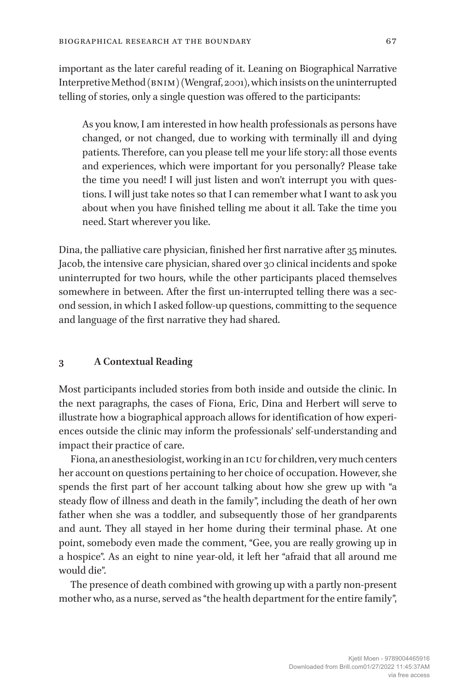important as the later careful reading of it. Leaning on Biographical Narrative Interpretive Method (BNIM) (Wengraf, 2001), which insists on the uninterrupted telling of stories, only a single question was offered to the participants:

As you know, I am interested in how health professionals as persons have changed, or not changed, due to working with terminally ill and dying patients. Therefore, can you please tell me your life story: all those events and experiences, which were important for you personally? Please take the time you need! I will just listen and won't interrupt you with questions. I will just take notes so that I can remember what I want to ask you about when you have finished telling me about it all. Take the time you need. Start wherever you like.

Dina, the palliative care physician, finished her first narrative after 35 minutes. Jacob, the intensive care physician, shared over 30 clinical incidents and spoke uninterrupted for two hours, while the other participants placed themselves somewhere in between. After the first un-interrupted telling there was a second session, in which I asked follow-up questions, committing to the sequence and language of the first narrative they had shared.

#### **3 A Contextual Reading**

Most participants included stories from both inside and outside the clinic. In the next paragraphs, the cases of Fiona, Eric, Dina and Herbert will serve to illustrate how a biographical approach allows for identification of how experiences outside the clinic may inform the professionals' self-understanding and impact their practice of care.

Fiona, an anesthesiologist, working in an ICU for children, very much centers her account on questions pertaining to her choice of occupation. However, she spends the first part of her account talking about how she grew up with "a steady flow of illness and death in the family", including the death of her own father when she was a toddler, and subsequently those of her grandparents and aunt. They all stayed in her home during their terminal phase. At one point, somebody even made the comment, "Gee, you are really growing up in a hospice". As an eight to nine year-old, it left her "afraid that all around me would die".

The presence of death combined with growing up with a partly non-present mother who, as a nurse, served as "the health department for the entire family",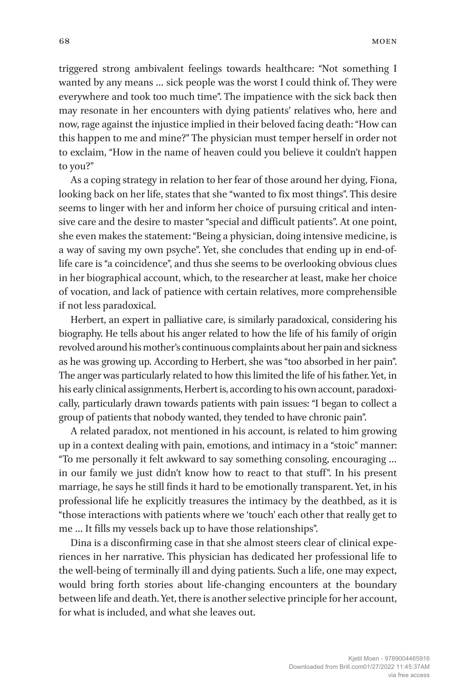triggered strong ambivalent feelings towards healthcare: "Not something I wanted by any means … sick people was the worst I could think of. They were everywhere and took too much time". The impatience with the sick back then may resonate in her encounters with dying patients' relatives who, here and now, rage against the injustice implied in their beloved facing death: "How can this happen to me and mine?" The physician must temper herself in order not to exclaim, "How in the name of heaven could you believe it couldn't happen to you?"

As a coping strategy in relation to her fear of those around her dying, Fiona, looking back on her life, states that she "wanted to fix most things". This desire seems to linger with her and inform her choice of pursuing critical and intensive care and the desire to master "special and difficult patients". At one point, she even makes the statement: "Being a physician, doing intensive medicine, is a way of saving my own psyche". Yet, she concludes that ending up in end-oflife care is "a coincidence", and thus she seems to be overlooking obvious clues in her biographical account, which, to the researcher at least, make her choice of vocation, and lack of patience with certain relatives, more comprehensible if not less paradoxical.

Herbert, an expert in palliative care, is similarly paradoxical, considering his biography. He tells about his anger related to how the life of his family of origin revolved around his mother's continuous complaints about her pain and sickness as he was growing up. According to Herbert, she was "too absorbed in her pain". The anger was particularly related to how this limited the life of his father. Yet, in his early clinical assignments, Herbert is, according to his own account, paradoxically, particularly drawn towards patients with pain issues: "I began to collect a group of patients that nobody wanted, they tended to have chronic pain".

A related paradox, not mentioned in his account, is related to him growing up in a context dealing with pain, emotions, and intimacy in a "stoic" manner: "To me personally it felt awkward to say something consoling, encouraging … in our family we just didn't know how to react to that stuff". In his present marriage, he says he still finds it hard to be emotionally transparent. Yet, in his professional life he explicitly treasures the intimacy by the deathbed, as it is "those interactions with patients where we 'touch' each other that really get to me … It fills my vessels back up to have those relationships".

Dina is a disconfirming case in that she almost steers clear of clinical experiences in her narrative. This physician has dedicated her professional life to the well-being of terminally ill and dying patients. Such a life, one may expect, would bring forth stories about life-changing encounters at the boundary between life and death. Yet, there is another selective principle for her account, for what is included, and what she leaves out.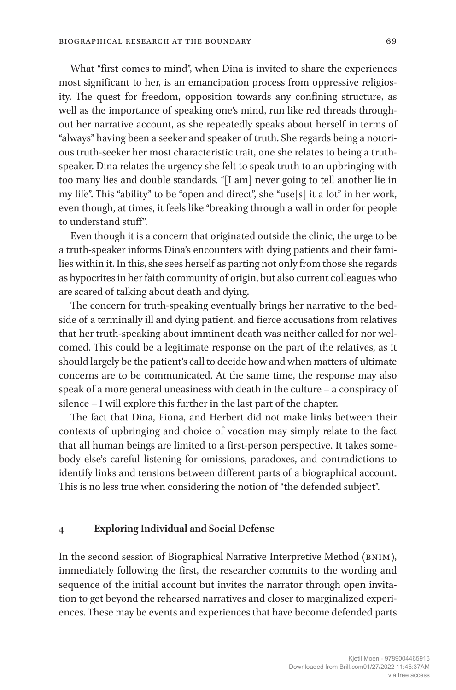What "first comes to mind", when Dina is invited to share the experiences most significant to her, is an emancipation process from oppressive religiosity. The quest for freedom, opposition towards any confining structure, as well as the importance of speaking one's mind, run like red threads throughout her narrative account, as she repeatedly speaks about herself in terms of "always" having been a seeker and speaker of truth. She regards being a notorious truth-seeker her most characteristic trait, one she relates to being a truthspeaker. Dina relates the urgency she felt to speak truth to an upbringing with too many lies and double standards. "[I am] never going to tell another lie in my life". This "ability" to be "open and direct", she "use[s] it a lot" in her work, even though, at times, it feels like "breaking through a wall in order for people to understand stuff".

Even though it is a concern that originated outside the clinic, the urge to be a truth-speaker informs Dina's encounters with dying patients and their families within it. In this, she sees herself as parting not only from those she regards as hypocrites in her faith community of origin, but also current colleagues who are scared of talking about death and dying.

The concern for truth-speaking eventually brings her narrative to the bedside of a terminally ill and dying patient, and fierce accusations from relatives that her truth-speaking about imminent death was neither called for nor welcomed. This could be a legitimate response on the part of the relatives, as it should largely be the patient's call to decide how and when matters of ultimate concerns are to be communicated. At the same time, the response may also speak of a more general uneasiness with death in the culture – a conspiracy of silence – I will explore this further in the last part of the chapter.

The fact that Dina, Fiona, and Herbert did not make links between their contexts of upbringing and choice of vocation may simply relate to the fact that all human beings are limited to a first-person perspective. It takes somebody else's careful listening for omissions, paradoxes, and contradictions to identify links and tensions between different parts of a biographical account. This is no less true when considering the notion of "the defended subject".

#### **4 Exploring Individual and Social Defense**

In the second session of Biographical Narrative Interpretive Method (BNIM), immediately following the first, the researcher commits to the wording and sequence of the initial account but invites the narrator through open invitation to get beyond the rehearsed narratives and closer to marginalized experiences. These may be events and experiences that have become defended parts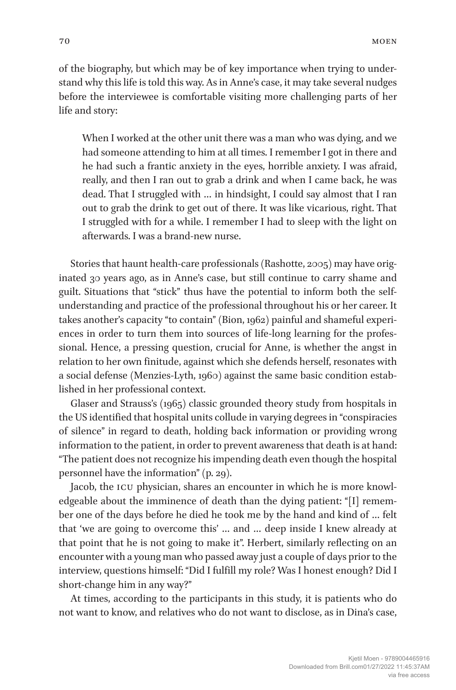of the biography, but which may be of key importance when trying to understand why this life is told this way. As in Anne's case, it may take several nudges before the interviewee is comfortable visiting more challenging parts of her life and story:

When I worked at the other unit there was a man who was dying, and we had someone attending to him at all times. I remember I got in there and he had such a frantic anxiety in the eyes, horrible anxiety. I was afraid, really, and then I ran out to grab a drink and when I came back, he was dead. That I struggled with … in hindsight, I could say almost that I ran out to grab the drink to get out of there. It was like vicarious, right. That I struggled with for a while. I remember I had to sleep with the light on afterwards. I was a brand-new nurse.

Stories that haunt health-care professionals (Rashotte, 2005) may have originated 30 years ago, as in Anne's case, but still continue to carry shame and guilt. Situations that "stick" thus have the potential to inform both the selfunderstanding and practice of the professional throughout his or her career. It takes another's capacity "to contain" (Bion, 1962) painful and shameful experiences in order to turn them into sources of life-long learning for the professional. Hence, a pressing question, crucial for Anne, is whether the angst in relation to her own finitude, against which she defends herself, resonates with a social defense (Menzies-Lyth, 1960) against the same basic condition established in her professional context.

Glaser and Strauss's (1965) classic grounded theory study from hospitals in the US identified that hospital units collude in varying degrees in "conspiracies of silence" in regard to death, holding back information or providing wrong information to the patient, in order to prevent awareness that death is at hand: "The patient does not recognize his impending death even though the hospital personnel have the information" (p. 29).

Jacob, the ICU physician, shares an encounter in which he is more knowledgeable about the imminence of death than the dying patient: "[I] remember one of the days before he died he took me by the hand and kind of … felt that 'we are going to overcome this' … and … deep inside I knew already at that point that he is not going to make it". Herbert, similarly reflecting on an encounter with a young man who passed away just a couple of days prior to the interview, questions himself: "Did I fulfill my role? Was I honest enough? Did I short-change him in any way?"

At times, according to the participants in this study, it is patients who do not want to know, and relatives who do not want to disclose, as in Dina's case,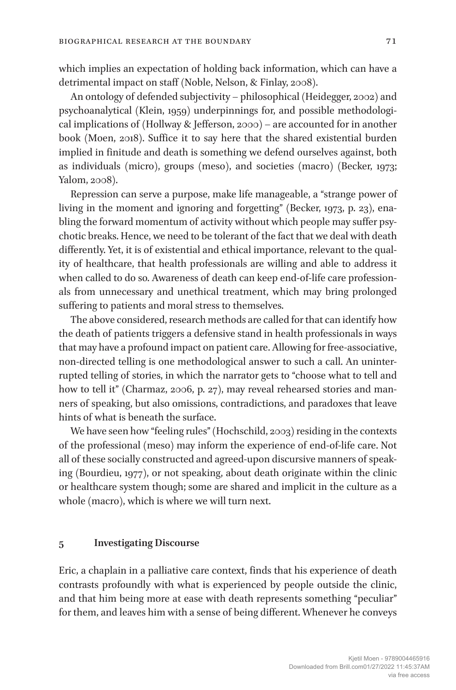which implies an expectation of holding back information, which can have a detrimental impact on staff (Noble, Nelson, & Finlay, 2008).

An ontology of defended subjectivity – philosophical (Heidegger, 2002) and psychoanalytical (Klein, 1959) underpinnings for, and possible methodological implications of (Hollway & Jefferson, 2000) – are accounted for in another book (Moen, 2018). Suffice it to say here that the shared existential burden implied in finitude and death is something we defend ourselves against, both as individuals (micro), groups (meso), and societies (macro) (Becker, 1973; Yalom, 2008).

Repression can serve a purpose, make life manageable, a "strange power of living in the moment and ignoring and forgetting" (Becker, 1973, p. 23), enabling the forward momentum of activity without which people may suffer psychotic breaks. Hence, we need to be tolerant of the fact that we deal with death differently. Yet, it is of existential and ethical importance, relevant to the quality of healthcare, that health professionals are willing and able to address it when called to do so. Awareness of death can keep end-of-life care professionals from unnecessary and unethical treatment, which may bring prolonged suffering to patients and moral stress to themselves.

The above considered, research methods are called for that can identify how the death of patients triggers a defensive stand in health professionals in ways that may have a profound impact on patient care. Allowing for free-associative, non-directed telling is one methodological answer to such a call. An uninterrupted telling of stories, in which the narrator gets to "choose what to tell and how to tell it" (Charmaz, 2006, p. 27), may reveal rehearsed stories and manners of speaking, but also omissions, contradictions, and paradoxes that leave hints of what is beneath the surface.

We have seen how "feeling rules" (Hochschild, 2003) residing in the contexts of the professional (meso) may inform the experience of end-of-life care. Not all of these socially constructed and agreed-upon discursive manners of speaking (Bourdieu, 1977), or not speaking, about death originate within the clinic or healthcare system though; some are shared and implicit in the culture as a whole (macro), which is where we will turn next.

#### **5 Investigating Discourse**

Eric, a chaplain in a palliative care context, finds that his experience of death contrasts profoundly with what is experienced by people outside the clinic, and that him being more at ease with death represents something "peculiar" for them, and leaves him with a sense of being different. Whenever he conveys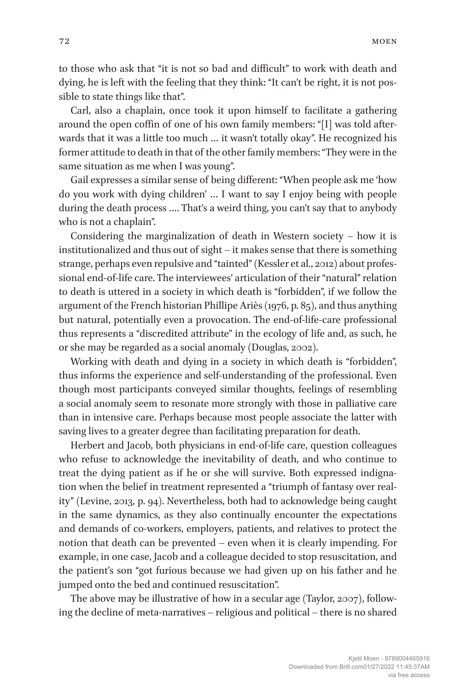to those who ask that "it is not so bad and difficult" to work with death and dying, he is left with the feeling that they think: "It can't be right, it is not possible to state things like that".

Carl, also a chaplain, once took it upon himself to facilitate a gathering around the open coffin of one of his own family members: "[I] was told afterwards that it was a little too much … it wasn't totally okay". He recognized his former attitude to death in that of the other family members: "They were in the same situation as me when I was young".

Gail expresses a similar sense of being different: "When people ask me 'how do you work with dying children' … I want to say I enjoy being with people during the death process …. That's a weird thing, you can't say that to anybody who is not a chaplain".

Considering the marginalization of death in Western society – how it is institutionalized and thus out of sight – it makes sense that there is something strange, perhaps even repulsive and "tainted" (Kessler et al., 2012) about professional end-of-life care. The interviewees' articulation of their "natural" relation to death is uttered in a society in which death is "forbidden", if we follow the argument of the French historian Phillipe Ariès (1976, p. 85), and thus anything but natural, potentially even a provocation. The end-of-life-care professional thus represents a "discredited attribute" in the ecology of life and, as such, he or she may be regarded as a social anomaly (Douglas, 2002).

Working with death and dying in a society in which death is "forbidden", thus informs the experience and self-understanding of the professional. Even though most participants conveyed similar thoughts, feelings of resembling a social anomaly seem to resonate more strongly with those in palliative care than in intensive care. Perhaps because most people associate the latter with saving lives to a greater degree than facilitating preparation for death.

Herbert and Jacob, both physicians in end-of-life care, question colleagues who refuse to acknowledge the inevitability of death, and who continue to treat the dying patient as if he or she will survive. Both expressed indignation when the belief in treatment represented a "triumph of fantasy over reality" (Levine, 2013, p. 94). Nevertheless, both had to acknowledge being caught in the same dynamics, as they also continually encounter the expectations and demands of co-workers, employers, patients, and relatives to protect the notion that death can be prevented – even when it is clearly impending. For example, in one case, Jacob and a colleague decided to stop resuscitation, and the patient's son "got furious because we had given up on his father and he jumped onto the bed and continued resuscitation".

The above may be illustrative of how in a secular age (Taylor, 2007), following the decline of meta-narratives – religious and political – there is no shared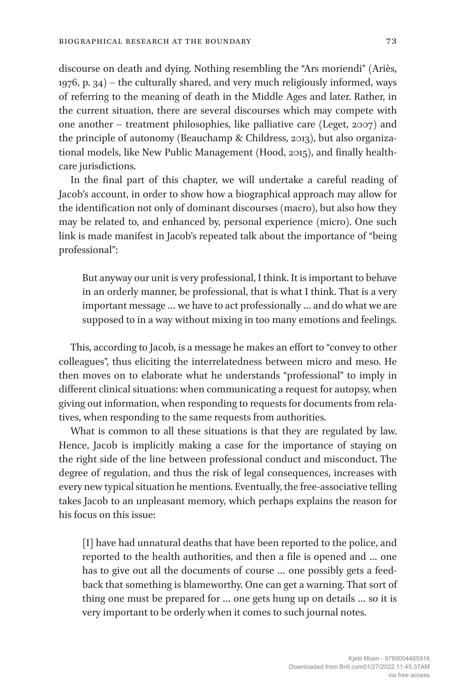discourse on death and dying. Nothing resembling the "Ars moriendi" (Ariès, 1976, p. 34) – the culturally shared, and very much religiously informed, ways of referring to the meaning of death in the Middle Ages and later. Rather, in the current situation, there are several discourses which may compete with one another – treatment philosophies, like palliative care (Leget, 2007) and the principle of autonomy (Beauchamp & Childress, 2013), but also organizational models, like New Public Management (Hood, 2015), and finally healthcare jurisdictions.

In the final part of this chapter, we will undertake a careful reading of Jacob's account, in order to show how a biographical approach may allow for the identification not only of dominant discourses (macro), but also how they may be related to, and enhanced by, personal experience (micro). One such link is made manifest in Jacob's repeated talk about the importance of "being professional":

But anyway our unit is very professional, I think. It is important to behave in an orderly manner, be professional, that is what I think. That is a very important message … we have to act professionally … and do what we are supposed to in a way without mixing in too many emotions and feelings.

This, according to Jacob, is a message he makes an effort to "convey to other colleagues", thus eliciting the interrelatedness between micro and meso. He then moves on to elaborate what he understands "professional" to imply in different clinical situations: when communicating a request for autopsy, when giving out information, when responding to requests for documents from relatives, when responding to the same requests from authorities.

What is common to all these situations is that they are regulated by law. Hence, Jacob is implicitly making a case for the importance of staying on the right side of the line between professional conduct and misconduct. The degree of regulation, and thus the risk of legal consequences, increases with every new typical situation he mentions. Eventually, the free-associative telling takes Jacob to an unpleasant memory, which perhaps explains the reason for his focus on this issue:

[I] have had unnatural deaths that have been reported to the police, and reported to the health authorities, and then a file is opened and … one has to give out all the documents of course … one possibly gets a feedback that something is blameworthy. One can get a warning. That sort of thing one must be prepared for … one gets hung up on details … so it is very important to be orderly when it comes to such journal notes.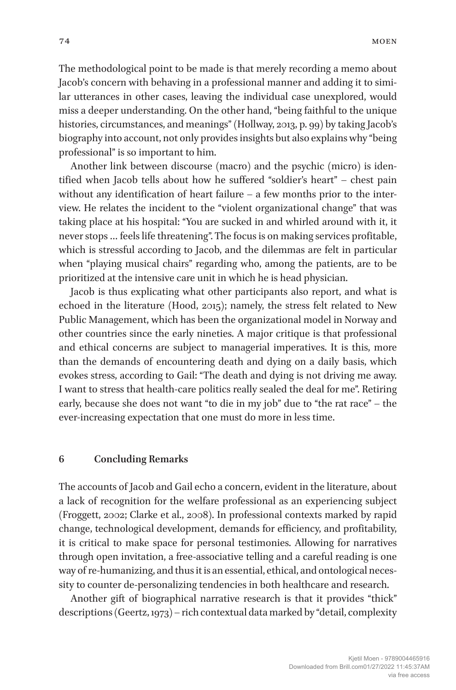The methodological point to be made is that merely recording a memo about Jacob's concern with behaving in a professional manner and adding it to similar utterances in other cases, leaving the individual case unexplored, would miss a deeper understanding. On the other hand, "being faithful to the unique histories, circumstances, and meanings" (Hollway, 2013, p. 99) by taking Jacob's biography into account, not only provides insights but also explains why "being professional" is so important to him.

Another link between discourse (macro) and the psychic (micro) is identified when Jacob tells about how he suffered "soldier's heart" – chest pain without any identification of heart failure – a few months prior to the interview. He relates the incident to the "violent organizational change" that was taking place at his hospital: "You are sucked in and whirled around with it, it never stops … feels life threatening". The focus is on making services profitable, which is stressful according to Jacob, and the dilemmas are felt in particular when "playing musical chairs" regarding who, among the patients, are to be prioritized at the intensive care unit in which he is head physician.

Jacob is thus explicating what other participants also report, and what is echoed in the literature (Hood, 2015); namely, the stress felt related to New Public Management, which has been the organizational model in Norway and other countries since the early nineties. A major critique is that professional and ethical concerns are subject to managerial imperatives. It is this, more than the demands of encountering death and dying on a daily basis, which evokes stress, according to Gail: "The death and dying is not driving me away. I want to stress that health-care politics really sealed the deal for me". Retiring early, because she does not want "to die in my job" due to "the rat race" – the ever-increasing expectation that one must do more in less time.

#### **6 Concluding Remarks**

The accounts of Jacob and Gail echo a concern, evident in the literature, about a lack of recognition for the welfare professional as an experiencing subject (Froggett, 2002; Clarke et al., 2008). In professional contexts marked by rapid change, technological development, demands for efficiency, and profitability, it is critical to make space for personal testimonies. Allowing for narratives through open invitation, a free-associative telling and a careful reading is one way of re-humanizing, and thus it is an essential, ethical, and ontological necessity to counter de-personalizing tendencies in both healthcare and research.

Another gift of biographical narrative research is that it provides "thick" descriptions (Geertz, 1973) – rich contextual data marked by "detail, complexity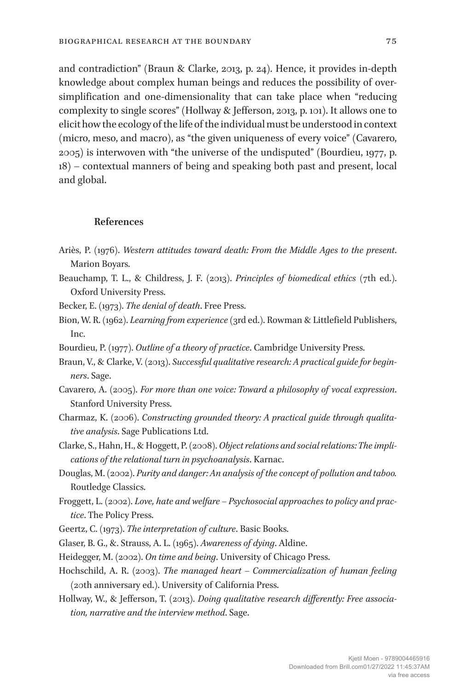and contradiction" (Braun & Clarke, 2013, p. 24). Hence, it provides in-depth knowledge about complex human beings and reduces the possibility of oversimplification and one-dimensionality that can take place when "reducing complexity to single scores" (Hollway & Jefferson, 2013, p. 101). It allows one to elicit how the ecology of the life of the individual must be understood in context (micro, meso, and macro), as "the given uniqueness of every voice" (Cavarero, 2005) is interwoven with "the universe of the undisputed" (Bourdieu, 1977, p. 18) – contextual manners of being and speaking both past and present, local and global.

## **References**

- Ariès, P. (1976). *Western attitudes toward death: From the Middle Ages to the present*. Marion Boyars.
- Beauchamp, T. L., & Childress, J. F. (2013). *Principles of biomedical ethics* (7th ed.). Oxford University Press.
- Becker, E. (1973). *The denial of death*. Free Press.
- Bion, W. R. (1962). *Learning from experience* (3rd ed.). Rowman & Littlefield Publishers, Inc.
- Bourdieu, P. (1977). *Outline of a theory of practice*. Cambridge University Press.
- Braun, V., & Clarke, V. (2013). *Successful qualitative research: A practical guide for beginners*. Sage.
- Cavarero, A. (2005). *For more than one voice: Toward a philosophy of vocal expression*. Stanford University Press.
- Charmaz, K. (2006). *Constructing grounded theory: A practical guide through qualitative analysis*. Sage Publications Ltd.
- Clarke, S., Hahn, H., & Hoggett, P. (2008). *Object relations and social relations: The implications of the relational turn in psychoanalysis*. Karnac.
- Douglas, M. (2002). *Purity and danger: An analysis of the concept of pollution and taboo.* Routledge Classics.
- Froggett, L. (2002). *Love, hate and welfare Psychosocial approaches to policy and practice*. The Policy Press.
- Geertz, C. (1973). *The interpretation of culture*. Basic Books.
- Glaser, B. G., &. Strauss, A. L. (1965). *Awareness of dying*. Aldine.
- Heidegger, M. (2002). *On time and being*. University of Chicago Press.
- Hochschild, A. R. (2003). *The managed heart Commercialization of human feeling* (20th anniversary ed.). University of California Press.
- Hollway, W., & Jefferson, T. (2013). *Doing qualitative research differently: Free association, narrative and the interview method*. Sage.